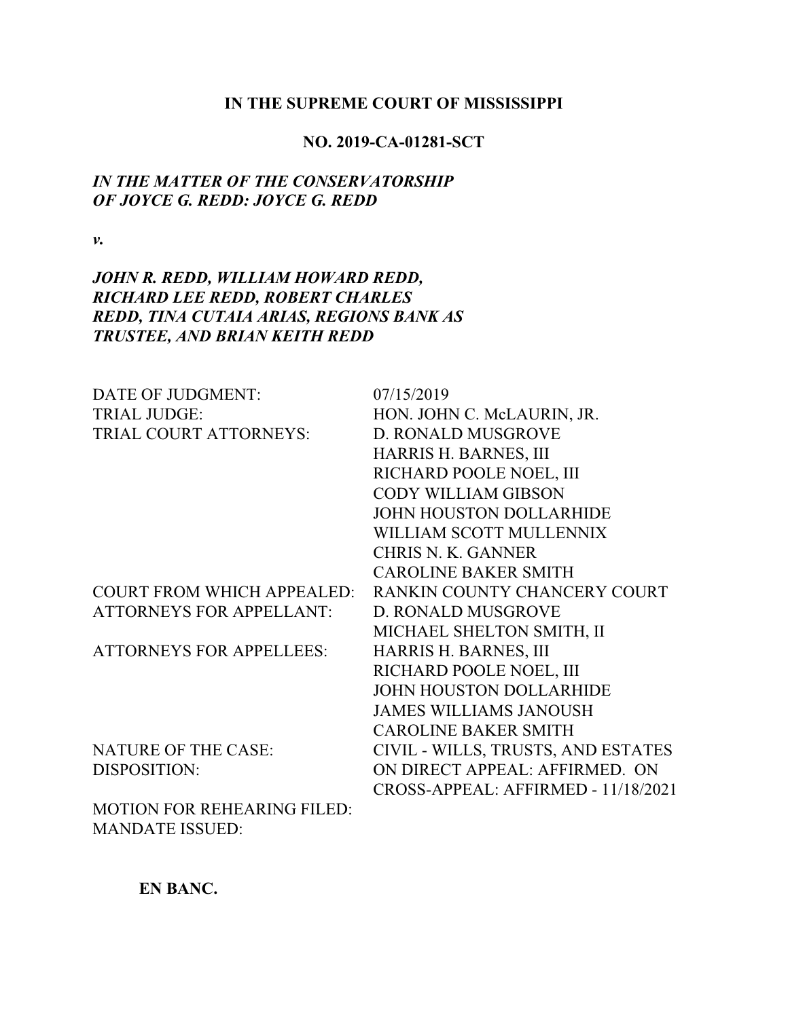#### **IN THE SUPREME COURT OF MISSISSIPPI**

## **NO. 2019-CA-01281-SCT**

# *IN THE MATTER OF THE CONSERVATORSHIP OF JOYCE G. REDD: JOYCE G. REDD*

*v.*

# *JOHN R. REDD, WILLIAM HOWARD REDD, RICHARD LEE REDD, ROBERT CHARLES REDD, TINA CUTAIA ARIAS, REGIONS BANK AS TRUSTEE, AND BRIAN KEITH REDD*

| DATE OF JUDGMENT:                  | 07/15/2019                          |
|------------------------------------|-------------------------------------|
| <b>TRIAL JUDGE:</b>                | HON. JOHN C. McLAURIN, JR.          |
| TRIAL COURT ATTORNEYS:             | D. RONALD MUSGROVE                  |
|                                    | HARRIS H. BARNES, III               |
|                                    | RICHARD POOLE NOEL, III             |
|                                    | <b>CODY WILLIAM GIBSON</b>          |
|                                    | <b>JOHN HOUSTON DOLLARHIDE</b>      |
|                                    | WILLIAM SCOTT MULLENNIX             |
|                                    | <b>CHRIS N. K. GANNER</b>           |
|                                    | <b>CAROLINE BAKER SMITH</b>         |
| <b>COURT FROM WHICH APPEALED:</b>  | RANKIN COUNTY CHANCERY COURT        |
| <b>ATTORNEYS FOR APPELLANT:</b>    | D. RONALD MUSGROVE                  |
|                                    | MICHAEL SHELTON SMITH, II           |
| <b>ATTORNEYS FOR APPELLEES:</b>    | HARRIS H. BARNES, III               |
|                                    | RICHARD POOLE NOEL, III             |
|                                    | JOHN HOUSTON DOLLARHIDE             |
|                                    | <b>JAMES WILLIAMS JANOUSH</b>       |
|                                    | <b>CAROLINE BAKER SMITH</b>         |
| <b>NATURE OF THE CASE:</b>         | CIVIL - WILLS, TRUSTS, AND ESTATES  |
| <b>DISPOSITION:</b>                | ON DIRECT APPEAL: AFFIRMED. ON      |
|                                    | CROSS-APPEAL: AFFIRMED - 11/18/2021 |
| <b>MOTION FOR REHEARING FILED:</b> |                                     |
| <b>MANDATE ISSUED:</b>             |                                     |

**EN BANC.**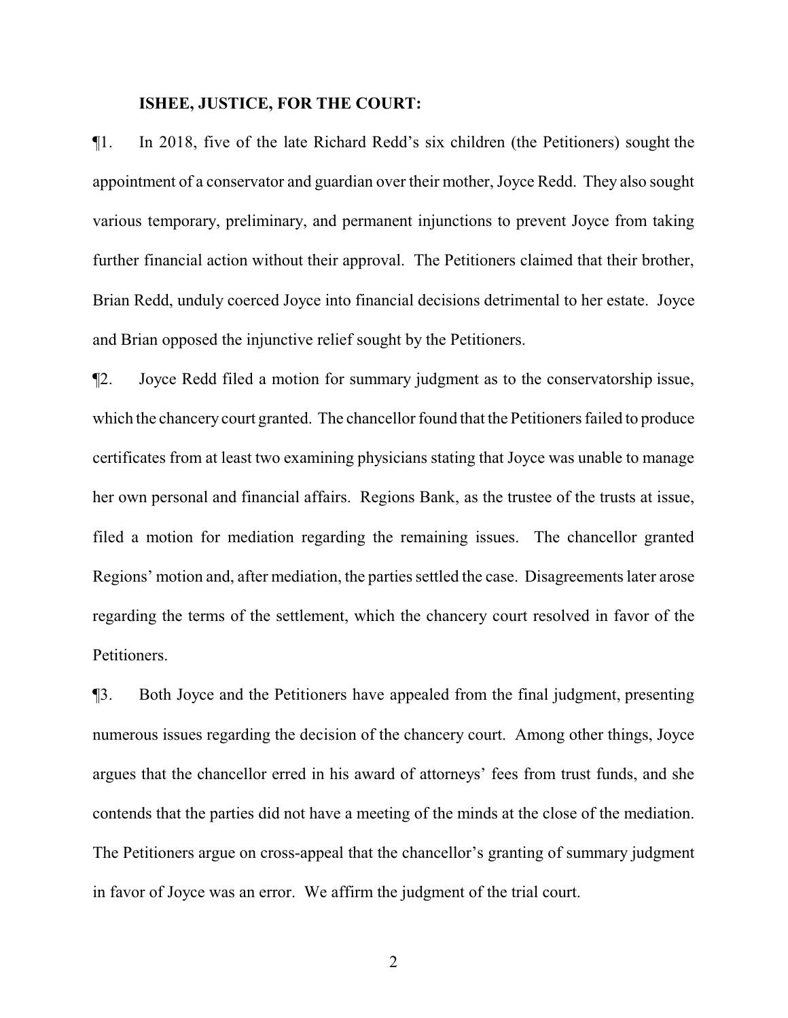#### **ISHEE, JUSTICE, FOR THE COURT:**

¶1. In 2018, five of the late Richard Redd's six children (the Petitioners) sought the appointment of a conservator and guardian over their mother, Joyce Redd. They also sought various temporary, preliminary, and permanent injunctions to prevent Joyce from taking further financial action without their approval. The Petitioners claimed that their brother, Brian Redd, unduly coerced Joyce into financial decisions detrimental to her estate. Joyce and Brian opposed the injunctive relief sought by the Petitioners.

¶2. Joyce Redd filed a motion for summary judgment as to the conservatorship issue, which the chancery court granted. The chancellor found that the Petitioners failed to produce certificates from at least two examining physicians stating that Joyce was unable to manage her own personal and financial affairs. Regions Bank, as the trustee of the trusts at issue, filed a motion for mediation regarding the remaining issues. The chancellor granted Regions' motion and, after mediation, the parties settled the case. Disagreements later arose regarding the terms of the settlement, which the chancery court resolved in favor of the Petitioners.

¶3. Both Joyce and the Petitioners have appealed from the final judgment, presenting numerous issues regarding the decision of the chancery court. Among other things, Joyce argues that the chancellor erred in his award of attorneys' fees from trust funds, and she contends that the parties did not have a meeting of the minds at the close of the mediation. The Petitioners argue on cross-appeal that the chancellor's granting of summary judgment in favor of Joyce was an error. We affirm the judgment of the trial court.

2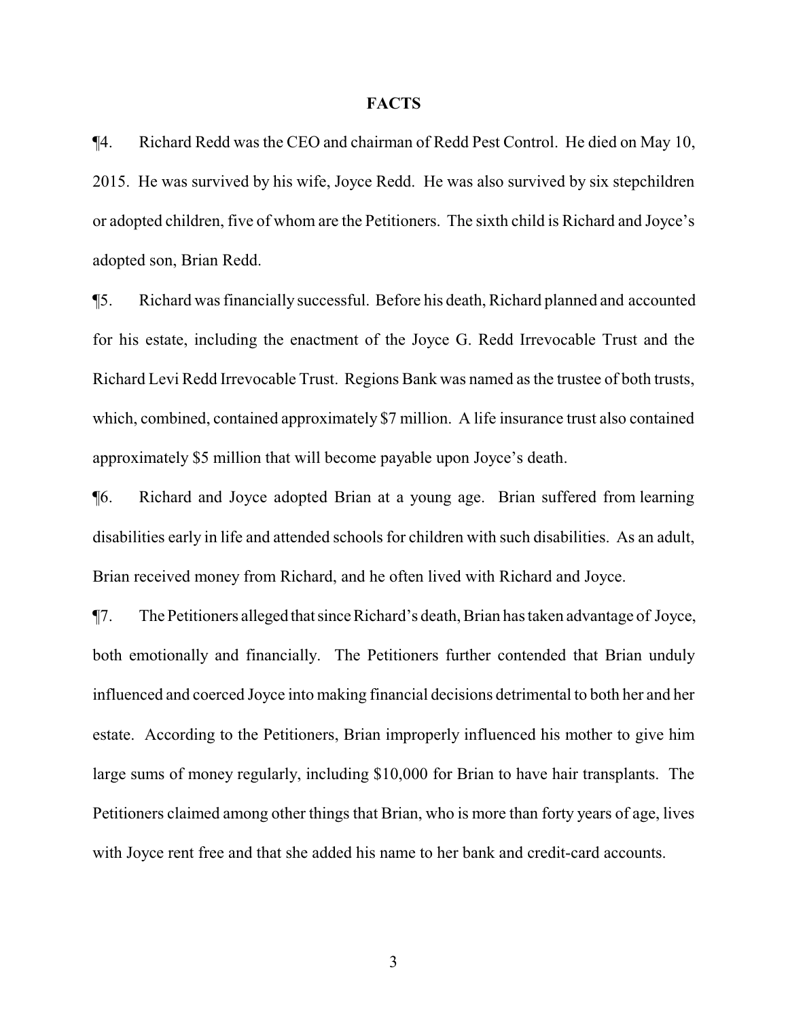#### **FACTS**

¶4. Richard Redd was the CEO and chairman of Redd Pest Control. He died on May 10, 2015. He was survived by his wife, Joyce Redd. He was also survived by six stepchildren or adopted children, five of whom are the Petitioners. The sixth child is Richard and Joyce's adopted son, Brian Redd.

¶5. Richard was financially successful. Before his death, Richard planned and accounted for his estate, including the enactment of the Joyce G. Redd Irrevocable Trust and the Richard Levi Redd Irrevocable Trust. Regions Bank was named as the trustee of both trusts, which, combined, contained approximately \$7 million. A life insurance trust also contained approximately \$5 million that will become payable upon Joyce's death.

¶6. Richard and Joyce adopted Brian at a young age. Brian suffered from learning disabilities early in life and attended schools for children with such disabilities. As an adult, Brian received money from Richard, and he often lived with Richard and Joyce.

¶7. The Petitioners alleged thatsinceRichard's death, Brian has taken advantage of Joyce, both emotionally and financially. The Petitioners further contended that Brian unduly influenced and coerced Joyce into making financial decisions detrimental to both her and her estate. According to the Petitioners, Brian improperly influenced his mother to give him large sums of money regularly, including \$10,000 for Brian to have hair transplants. The Petitioners claimed among other things that Brian, who is more than forty years of age, lives with Joyce rent free and that she added his name to her bank and credit-card accounts.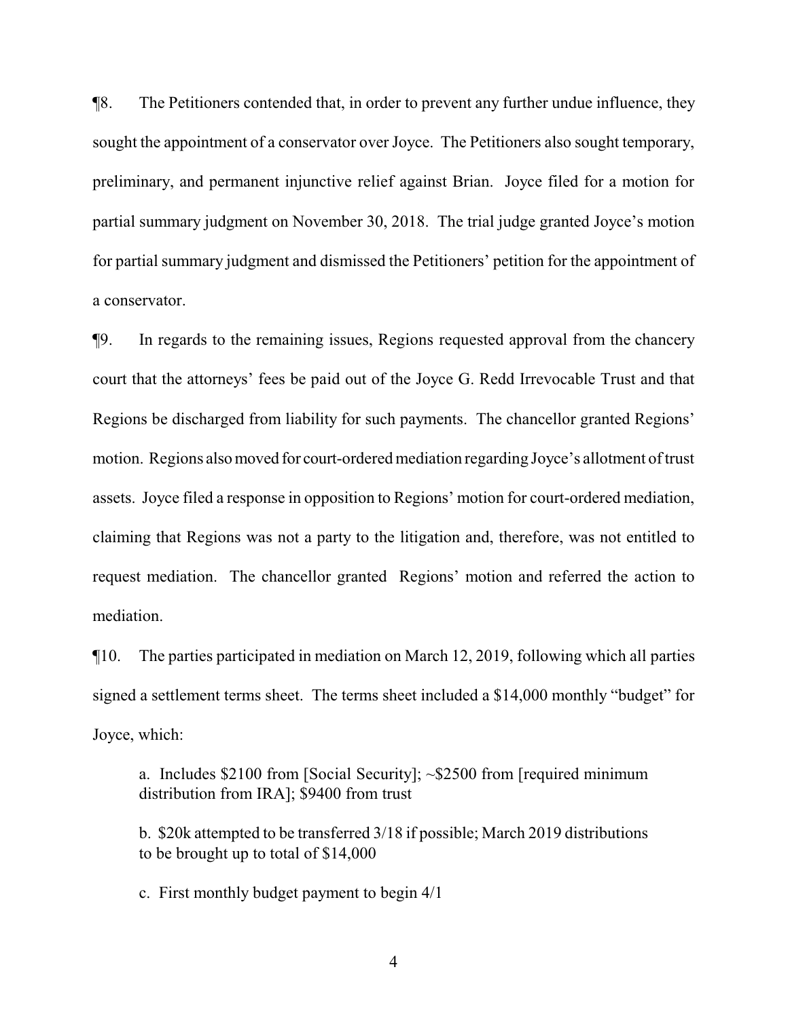¶8. The Petitioners contended that, in order to prevent any further undue influence, they sought the appointment of a conservator over Joyce. The Petitioners also sought temporary, preliminary, and permanent injunctive relief against Brian. Joyce filed for a motion for partial summary judgment on November 30, 2018. The trial judge granted Joyce's motion for partial summary judgment and dismissed the Petitioners' petition for the appointment of a conservator.

¶9. In regards to the remaining issues, Regions requested approval from the chancery court that the attorneys' fees be paid out of the Joyce G. Redd Irrevocable Trust and that Regions be discharged from liability for such payments. The chancellor granted Regions' motion. Regions also moved for court-ordered mediation regarding Joyce's allotment of trust assets. Joyce filed a response in opposition to Regions' motion for court-ordered mediation, claiming that Regions was not a party to the litigation and, therefore, was not entitled to request mediation. The chancellor granted Regions' motion and referred the action to mediation.

¶10. The parties participated in mediation on March 12, 2019, following which all parties signed a settlement terms sheet. The terms sheet included a \$14,000 monthly "budget" for Joyce, which:

a. Includes \$2100 from [Social Security]; ~\$2500 from [required minimum distribution from IRA]; \$9400 from trust

b. \$20k attempted to be transferred 3/18 if possible; March 2019 distributions to be brought up to total of \$14,000

c. First monthly budget payment to begin 4/1

4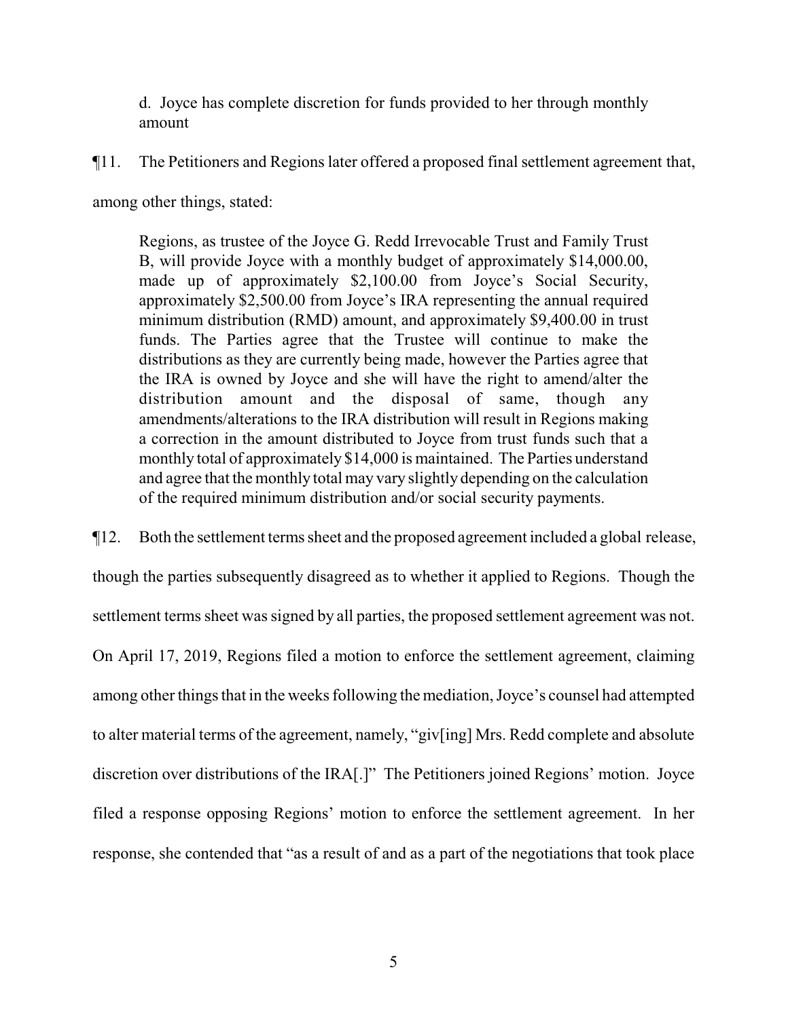d. Joyce has complete discretion for funds provided to her through monthly amount

¶11. The Petitioners and Regions later offered a proposed final settlement agreement that,

among other things, stated:

Regions, as trustee of the Joyce G. Redd Irrevocable Trust and Family Trust B, will provide Joyce with a monthly budget of approximately \$14,000.00, made up of approximately \$2,100.00 from Joyce's Social Security, approximately \$2,500.00 from Joyce's IRA representing the annual required minimum distribution (RMD) amount, and approximately \$9,400.00 in trust funds. The Parties agree that the Trustee will continue to make the distributions as they are currently being made, however the Parties agree that the IRA is owned by Joyce and she will have the right to amend/alter the distribution amount and the disposal of same, though any amendments/alterations to the IRA distribution will result in Regions making a correction in the amount distributed to Joyce from trust funds such that a monthly total of approximately \$14,000 is maintained. The Parties understand and agree that the monthly total may vary slightly depending on the calculation of the required minimum distribution and/or social security payments.

¶12. Both the settlement terms sheet and the proposed agreement included a global release, though the parties subsequently disagreed as to whether it applied to Regions. Though the settlement terms sheet was signed by all parties, the proposed settlement agreement was not. On April 17, 2019, Regions filed a motion to enforce the settlement agreement, claiming among other things that in the weeks following the mediation, Joyce's counsel had attempted to alter material terms of the agreement, namely, "giv[ing] Mrs. Redd complete and absolute discretion over distributions of the IRA[.]" The Petitioners joined Regions' motion. Joyce filed a response opposing Regions' motion to enforce the settlement agreement. In her response, she contended that "as a result of and as a part of the negotiations that took place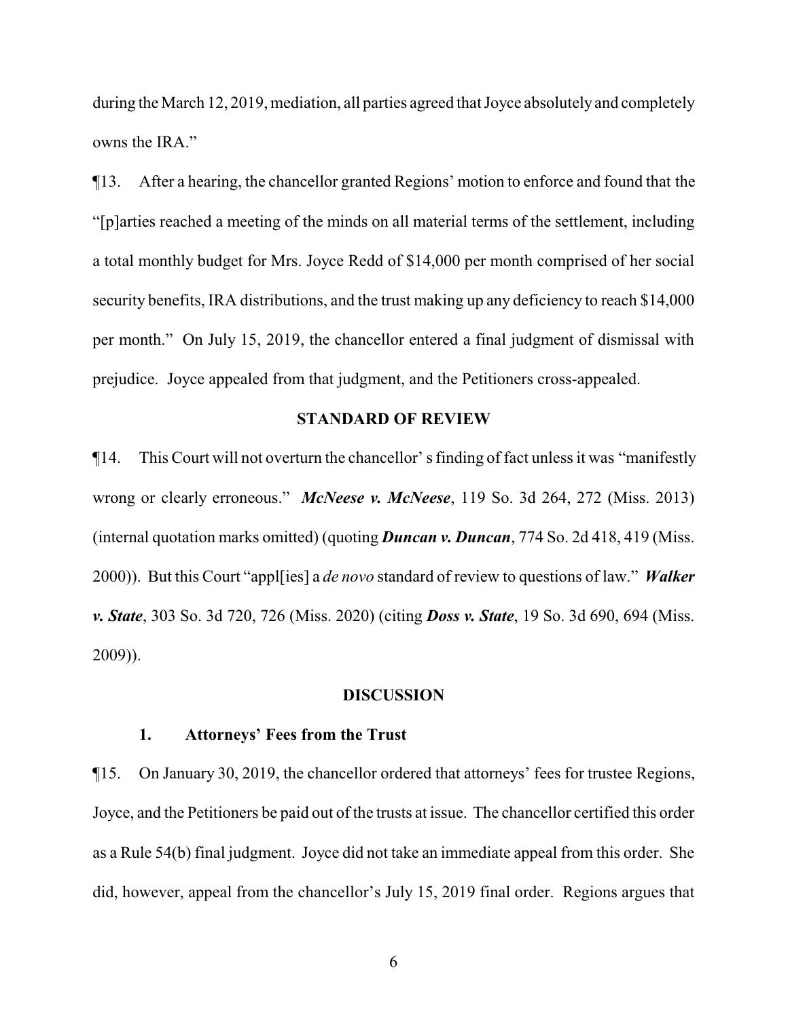during the March 12, 2019, mediation, all parties agreed that Joyce absolutelyand completely owns the IRA."

¶13. After a hearing, the chancellor granted Regions' motion to enforce and found that the "[p]arties reached a meeting of the minds on all material terms of the settlement, including a total monthly budget for Mrs. Joyce Redd of \$14,000 per month comprised of her social security benefits, IRA distributions, and the trust making up any deficiency to reach \$14,000 per month." On July 15, 2019, the chancellor entered a final judgment of dismissal with prejudice. Joyce appealed from that judgment, and the Petitioners cross-appealed.

#### **STANDARD OF REVIEW**

¶14. This Court will not overturn the chancellor' s finding of fact unless it was "manifestly wrong or clearly erroneous." *McNeese v. McNeese*, 119 So. 3d 264, 272 (Miss. 2013) (internal quotation marks omitted) (quoting *Duncan v. Duncan*, 774 So. 2d 418, 419 (Miss. 2000)). But this Court "appl[ies] a *de novo* standard of review to questions of law." *Walker v. State*, 303 So. 3d 720, 726 (Miss. 2020) (citing *Doss v. State*, 19 So. 3d 690, 694 (Miss. 2009)).

#### **DISCUSSION**

### **1. Attorneys' Fees from the Trust**

¶15. On January 30, 2019, the chancellor ordered that attorneys' fees for trustee Regions, Joyce, and the Petitioners be paid out of the trusts at issue. The chancellor certified this order as a Rule 54(b) final judgment. Joyce did not take an immediate appeal from this order. She did, however, appeal from the chancellor's July 15, 2019 final order. Regions argues that

6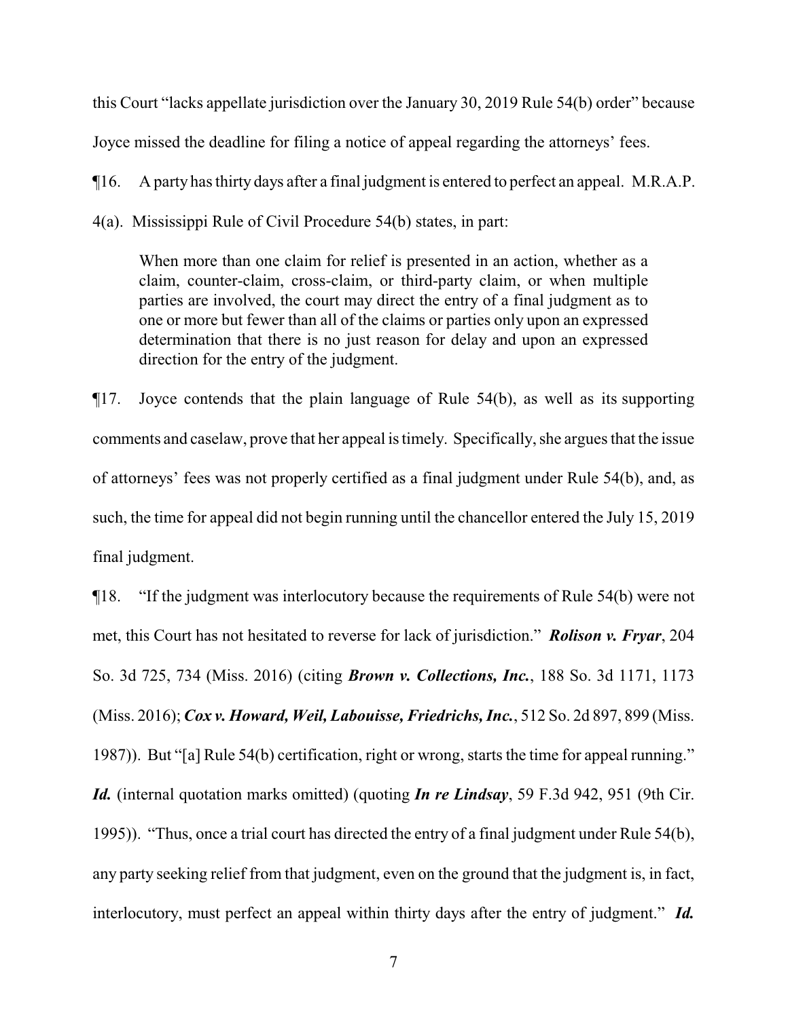this Court "lacks appellate jurisdiction over the January 30, 2019 Rule 54(b) order" because Joyce missed the deadline for filing a notice of appeal regarding the attorneys' fees.

¶16. A party has thirty days after a final judgment is entered to perfect an appeal. M.R.A.P.

4(a). Mississippi Rule of Civil Procedure 54(b) states, in part:

When more than one claim for relief is presented in an action, whether as a claim, counter-claim, cross-claim, or third-party claim, or when multiple parties are involved, the court may direct the entry of a final judgment as to one or more but fewer than all of the claims or parties only upon an expressed determination that there is no just reason for delay and upon an expressed direction for the entry of the judgment.

¶17. Joyce contends that the plain language of Rule 54(b), as well as its supporting comments and caselaw, prove that her appeal is timely. Specifically, she argues that the issue of attorneys' fees was not properly certified as a final judgment under Rule 54(b), and, as such, the time for appeal did not begin running until the chancellor entered the July 15, 2019 final judgment.

¶18. "If the judgment was interlocutory because the requirements of Rule 54(b) were not met, this Court has not hesitated to reverse for lack of jurisdiction." *Rolison v. Fryar*, 204 So. 3d 725, 734 (Miss. 2016) (citing *Brown v. Collections, Inc.*, 188 So. 3d 1171, 1173 (Miss. 2016); *Cox v. Howard, Weil, Labouisse, Friedrichs, Inc.*, 512 So. 2d 897, 899 (Miss. 1987)). But "[a] Rule 54(b) certification, right or wrong, starts the time for appeal running." *Id.* (internal quotation marks omitted) (quoting *In re Lindsay*, 59 F.3d 942, 951 (9th Cir. 1995)). "Thus, once a trial court has directed the entry of a final judgment under Rule 54(b), any party seeking relief from that judgment, even on the ground that the judgment is, in fact, interlocutory, must perfect an appeal within thirty days after the entry of judgment." *Id.*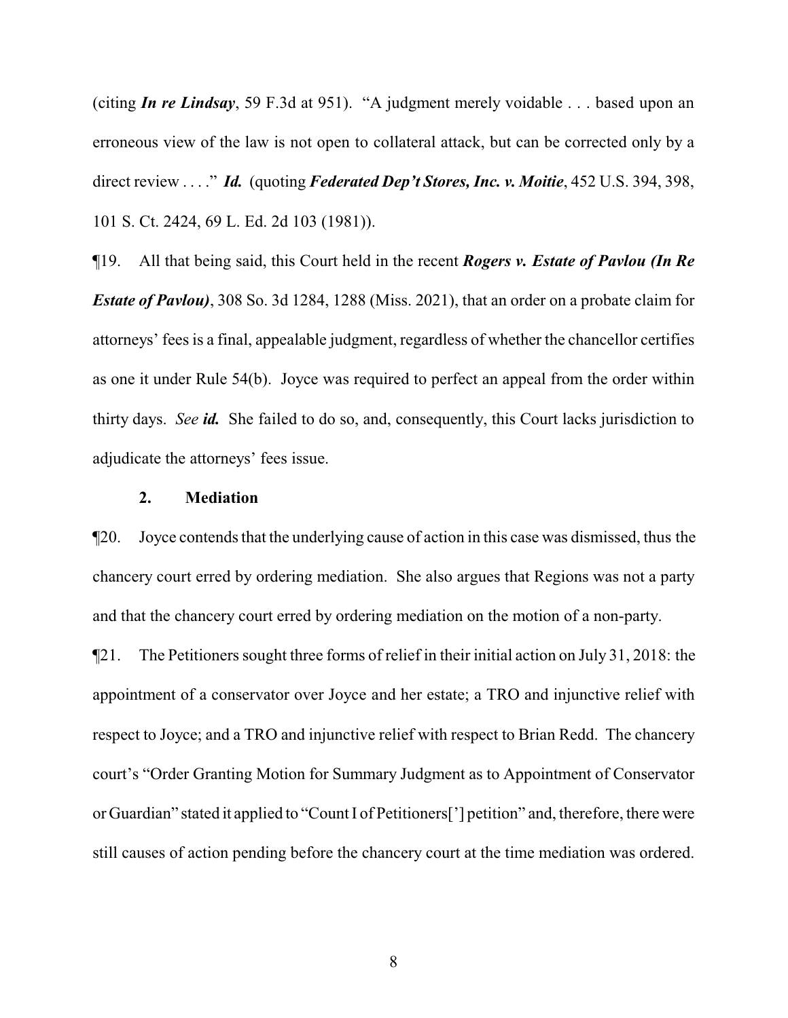(citing *In re Lindsay*, 59 F.3d at 951). "A judgment merely voidable . . . based upon an erroneous view of the law is not open to collateral attack, but can be corrected only by a direct review . . . ." *Id.* (quoting *Federated Dep't Stores, Inc. v. Moitie*, 452 U.S. 394, 398, 101 S. Ct. 2424, 69 L. Ed. 2d 103 (1981)).

¶19. All that being said, this Court held in the recent *Rogers v. Estate of Pavlou (In Re Estate of Pavlou)*, 308 So. 3d 1284, 1288 (Miss. 2021), that an order on a probate claim for attorneys' fees is a final, appealable judgment, regardless of whether the chancellor certifies as one it under Rule 54(b). Joyce was required to perfect an appeal from the order within thirty days. *See id.* She failed to do so, and, consequently, this Court lacks jurisdiction to adjudicate the attorneys' fees issue.

## **2. Mediation**

¶20. Joyce contends that the underlying cause of action in this case was dismissed, thus the chancery court erred by ordering mediation. She also argues that Regions was not a party and that the chancery court erred by ordering mediation on the motion of a non-party.

¶21. The Petitioners sought three forms of relief in their initial action on July 31, 2018: the appointment of a conservator over Joyce and her estate; a TRO and injunctive relief with respect to Joyce; and a TRO and injunctive relief with respect to Brian Redd. The chancery court's "Order Granting Motion for Summary Judgment as to Appointment of Conservator or Guardian" stated it applied to "Count I of Petitioners['] petition" and, therefore, there were still causes of action pending before the chancery court at the time mediation was ordered.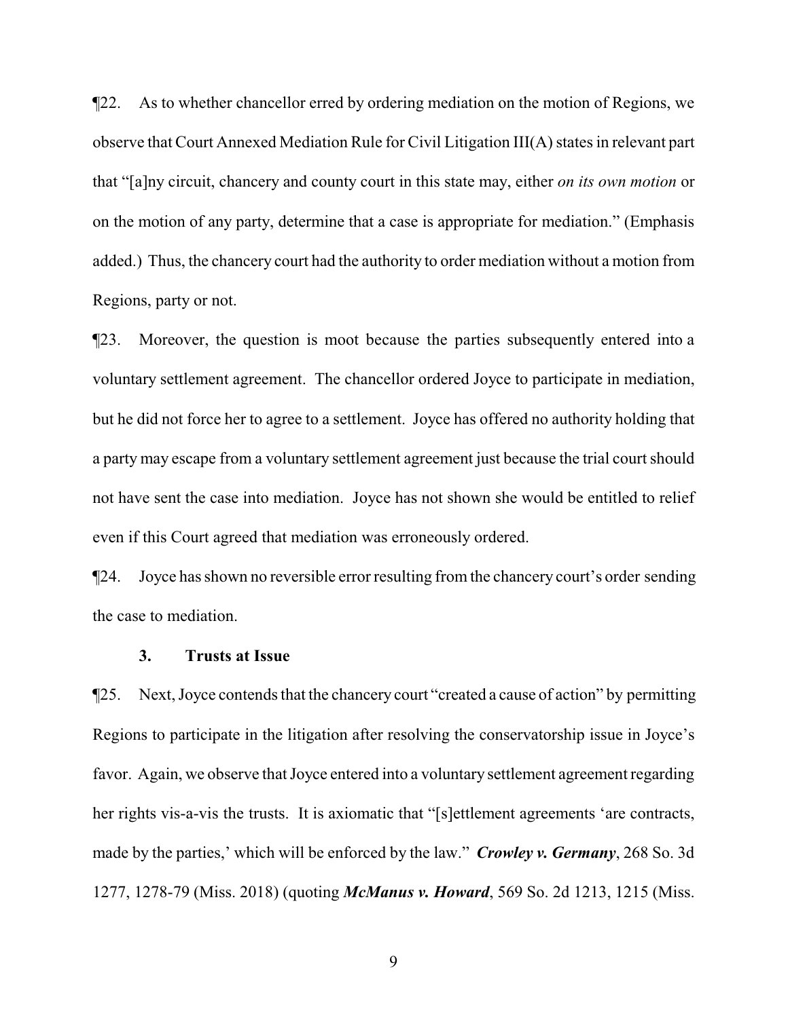¶22. As to whether chancellor erred by ordering mediation on the motion of Regions, we observe that Court Annexed Mediation Rule for Civil Litigation III(A) states in relevant part that "[a]ny circuit, chancery and county court in this state may, either *on its own motion* or on the motion of any party, determine that a case is appropriate for mediation." (Emphasis added.) Thus, the chancery court had the authority to order mediation without a motion from Regions, party or not.

¶23. Moreover, the question is moot because the parties subsequently entered into a voluntary settlement agreement. The chancellor ordered Joyce to participate in mediation, but he did not force her to agree to a settlement. Joyce has offered no authority holding that a party may escape from a voluntary settlement agreement just because the trial court should not have sent the case into mediation. Joyce has not shown she would be entitled to relief even if this Court agreed that mediation was erroneously ordered.

¶24. Joyce has shown no reversible error resulting from the chancery court's order sending the case to mediation.

### **3. Trusts at Issue**

¶25. Next, Joyce contends that the chancery court "created a cause of action" by permitting Regions to participate in the litigation after resolving the conservatorship issue in Joyce's favor. Again, we observe that Joyce entered into a voluntary settlement agreement regarding her rights vis-a-vis the trusts. It is axiomatic that "[s]ettlement agreements 'are contracts, made by the parties,' which will be enforced by the law." *Crowley v. Germany*, 268 So. 3d 1277, 1278-79 (Miss. 2018) (quoting *McManus v. Howard*, 569 So. 2d 1213, 1215 (Miss.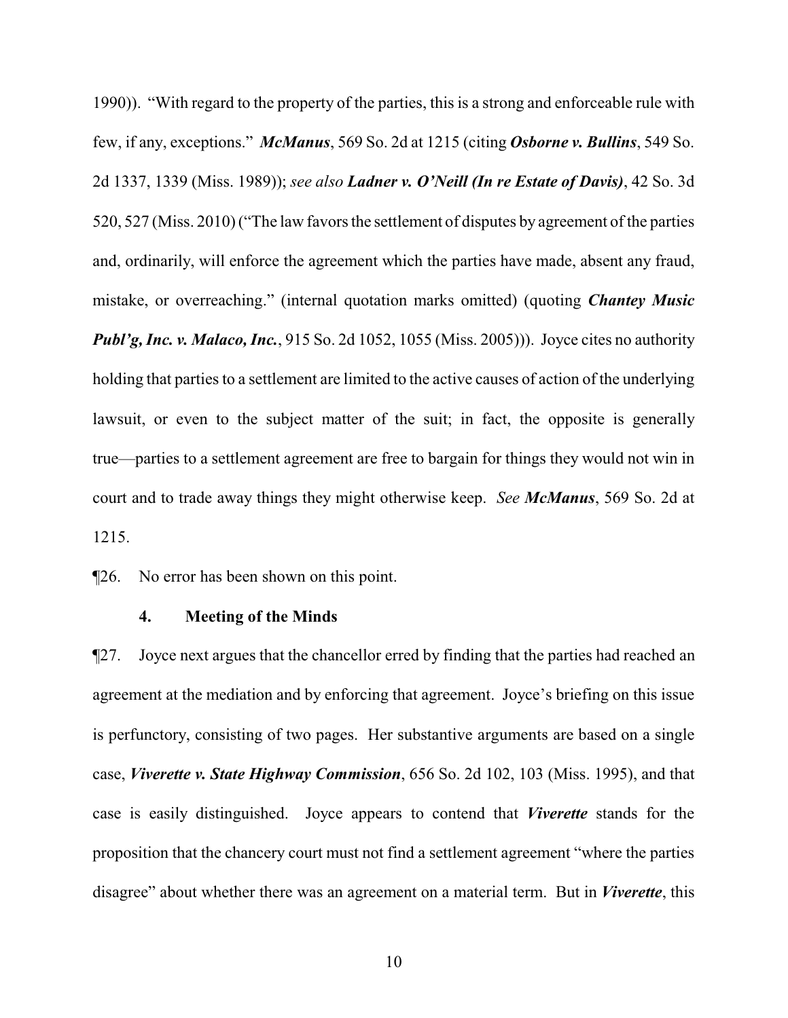1990)). "With regard to the property of the parties, this is a strong and enforceable rule with few, if any, exceptions." *McManus*, 569 So. 2d at 1215 (citing *Osborne v. Bullins*, 549 So. 2d 1337, 1339 (Miss. 1989)); *see also Ladner v. O'Neill (In re Estate of Davis)*, 42 So. 3d 520, 527 (Miss. 2010) ("The law favors the settlement of disputes by agreement of the parties and, ordinarily, will enforce the agreement which the parties have made, absent any fraud, mistake, or overreaching." (internal quotation marks omitted) (quoting *Chantey Music Publ'g, Inc. v. Malaco, Inc.*, 915 So. 2d 1052, 1055 (Miss. 2005)). Joyce cites no authority holding that parties to a settlement are limited to the active causes of action of the underlying lawsuit, or even to the subject matter of the suit; in fact, the opposite is generally true—parties to a settlement agreement are free to bargain for things they would not win in court and to trade away things they might otherwise keep. *See McManus*, 569 So. 2d at 1215.

¶26. No error has been shown on this point.

#### **4. Meeting of the Minds**

¶27. Joyce next argues that the chancellor erred by finding that the parties had reached an agreement at the mediation and by enforcing that agreement. Joyce's briefing on this issue is perfunctory, consisting of two pages. Her substantive arguments are based on a single case, *Viverette v. State Highway Commission*, 656 So. 2d 102, 103 (Miss. 1995), and that case is easily distinguished. Joyce appears to contend that *Viverette* stands for the proposition that the chancery court must not find a settlement agreement "where the parties disagree" about whether there was an agreement on a material term. But in *Viverette*, this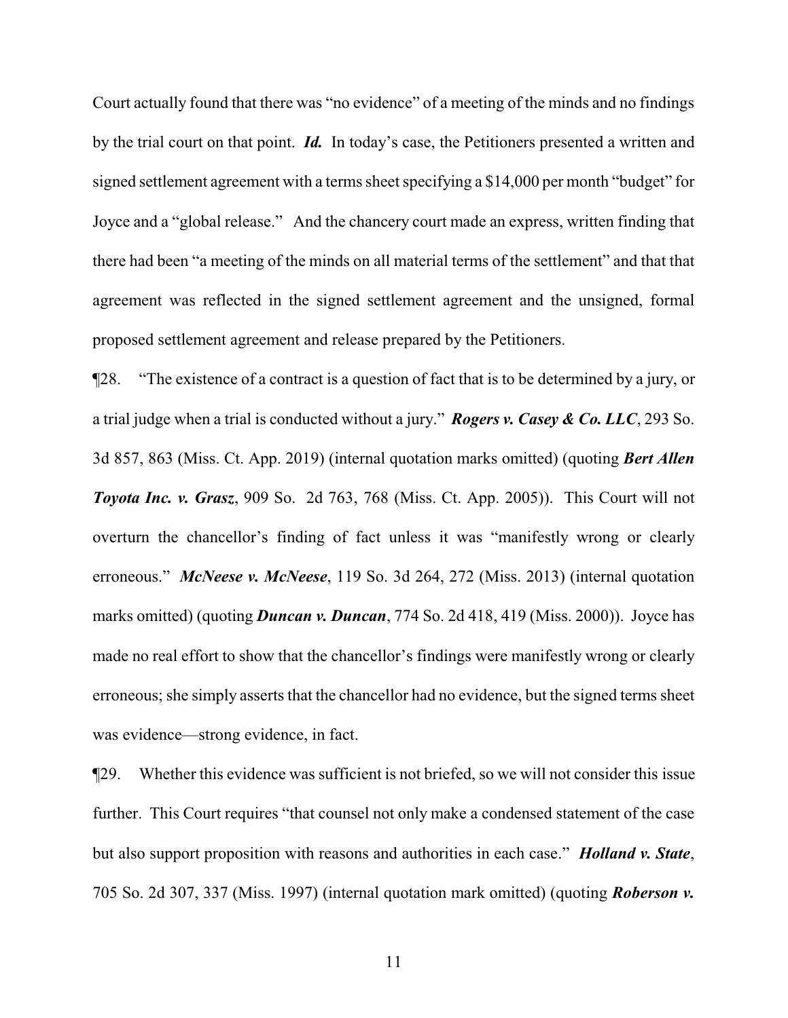Court actually found that there was "no evidence" of a meeting of the minds and no findings by the trial court on that point. *Id.* In today's case, the Petitioners presented a written and signed settlement agreement with a terms sheet specifying a \$14,000 per month "budget" for Joyce and a "global release." And the chancery court made an express, written finding that there had been "a meeting of the minds on all material terms of the settlement" and that that agreement was reflected in the signed settlement agreement and the unsigned, formal proposed settlement agreement and release prepared by the Petitioners.

¶28. "The existence of a contract is a question of fact that is to be determined by a jury, or a trial judge when a trial is conducted without a jury." *Rogers v. Casey & Co. LLC*, 293 So. 3d 857, 863 (Miss. Ct. App. 2019) (internal quotation marks omitted) (quoting *Bert Allen Toyota Inc. v. Grasz*, 909 So. 2d 763, 768 (Miss. Ct. App. 2005)). This Court will not overturn the chancellor's finding of fact unless it was "manifestly wrong or clearly erroneous." *McNeese v. McNeese*, 119 So. 3d 264, 272 (Miss. 2013) (internal quotation marks omitted) (quoting *Duncan v. Duncan*, 774 So. 2d 418, 419 (Miss. 2000)). Joyce has made no real effort to show that the chancellor's findings were manifestly wrong or clearly erroneous; she simply asserts that the chancellor had no evidence, but the signed terms sheet was evidence—strong evidence, in fact.

¶29. Whether this evidence was sufficient is not briefed, so we will not consider this issue further. This Court requires "that counsel not only make a condensed statement of the case but also support proposition with reasons and authorities in each case." *Holland v. State*, 705 So. 2d 307, 337 (Miss. 1997) (internal quotation mark omitted) (quoting *Roberson v.*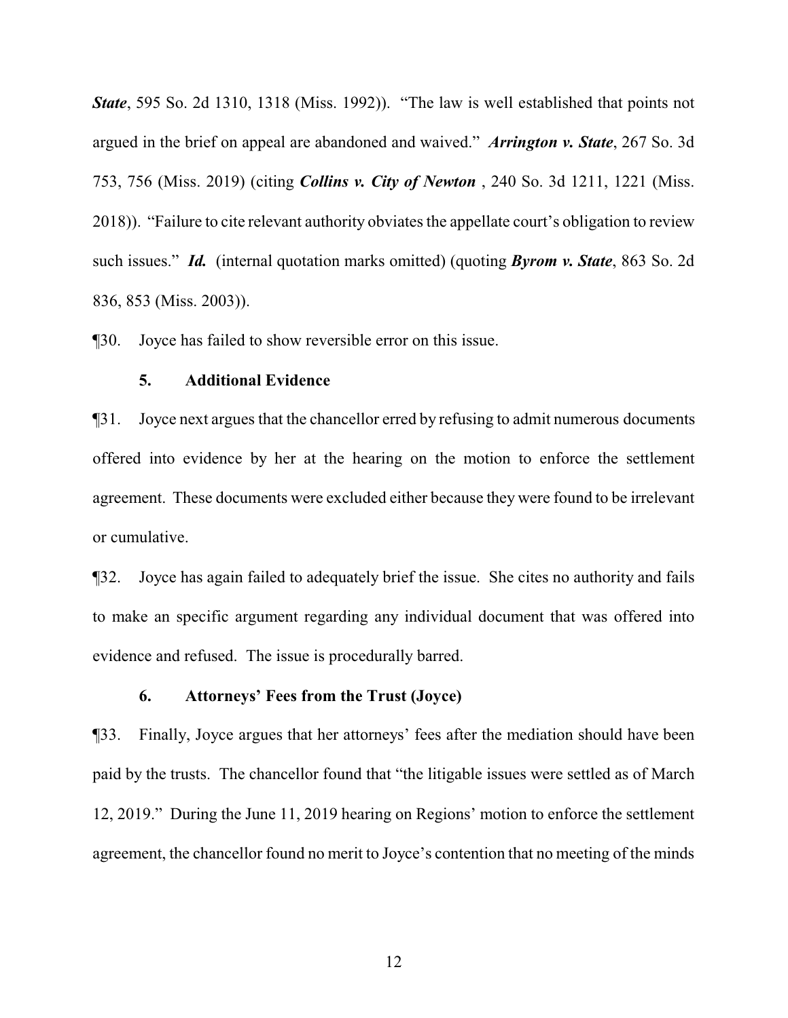*State*, 595 So. 2d 1310, 1318 (Miss. 1992)). "The law is well established that points not argued in the brief on appeal are abandoned and waived." *Arrington v. State*, 267 So. 3d 753, 756 (Miss. 2019) (citing *Collins v. City of Newton* , 240 So. 3d 1211, 1221 (Miss. 2018)). "Failure to cite relevant authority obviates the appellate court's obligation to review such issues." *Id.* (internal quotation marks omitted) (quoting *Byrom v. State*, 863 So. 2d 836, 853 (Miss. 2003)).

¶30. Joyce has failed to show reversible error on this issue.

### **5. Additional Evidence**

¶31. Joyce next argues that the chancellor erred by refusing to admit numerous documents offered into evidence by her at the hearing on the motion to enforce the settlement agreement. These documents were excluded either because they were found to be irrelevant or cumulative.

¶32. Joyce has again failed to adequately brief the issue. She cites no authority and fails to make an specific argument regarding any individual document that was offered into evidence and refused. The issue is procedurally barred.

### **6. Attorneys' Fees from the Trust (Joyce)**

¶33. Finally, Joyce argues that her attorneys' fees after the mediation should have been paid by the trusts. The chancellor found that "the litigable issues were settled as of March 12, 2019." During the June 11, 2019 hearing on Regions' motion to enforce the settlement agreement, the chancellor found no merit to Joyce's contention that no meeting of the minds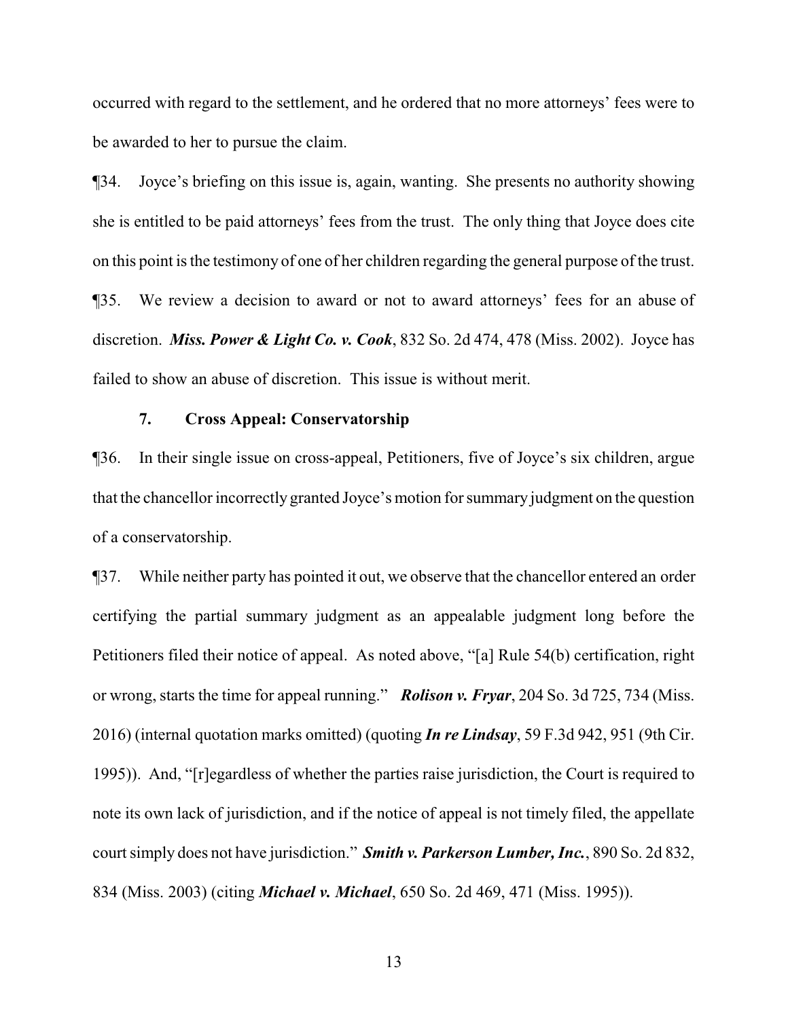occurred with regard to the settlement, and he ordered that no more attorneys' fees were to be awarded to her to pursue the claim.

¶34. Joyce's briefing on this issue is, again, wanting. She presents no authority showing she is entitled to be paid attorneys' fees from the trust. The only thing that Joyce does cite on this point is the testimony of one of her children regarding the general purpose of the trust. ¶35. We review a decision to award or not to award attorneys' fees for an abuse of discretion. *Miss. Power & Light Co. v. Cook*, 832 So. 2d 474, 478 (Miss. 2002). Joyce has failed to show an abuse of discretion. This issue is without merit.

# **7. Cross Appeal: Conservatorship**

¶36. In their single issue on cross-appeal, Petitioners, five of Joyce's six children, argue that the chancellor incorrectly granted Joyce's motion for summary judgment on the question of a conservatorship.

¶37. While neither party has pointed it out, we observe that the chancellor entered an order certifying the partial summary judgment as an appealable judgment long before the Petitioners filed their notice of appeal. As noted above, "[a] Rule 54(b) certification, right or wrong, starts the time for appeal running." *Rolison v. Fryar*, 204 So. 3d 725, 734 (Miss. 2016) (internal quotation marks omitted) (quoting *In re Lindsay*, 59 F.3d 942, 951 (9th Cir. 1995)). And, "[r]egardless of whether the parties raise jurisdiction, the Court is required to note its own lack of jurisdiction, and if the notice of appeal is not timely filed, the appellate court simply does not have jurisdiction." *Smith v. Parkerson Lumber, Inc.*, 890 So. 2d 832, 834 (Miss. 2003) (citing *Michael v. Michael*, 650 So. 2d 469, 471 (Miss. 1995)).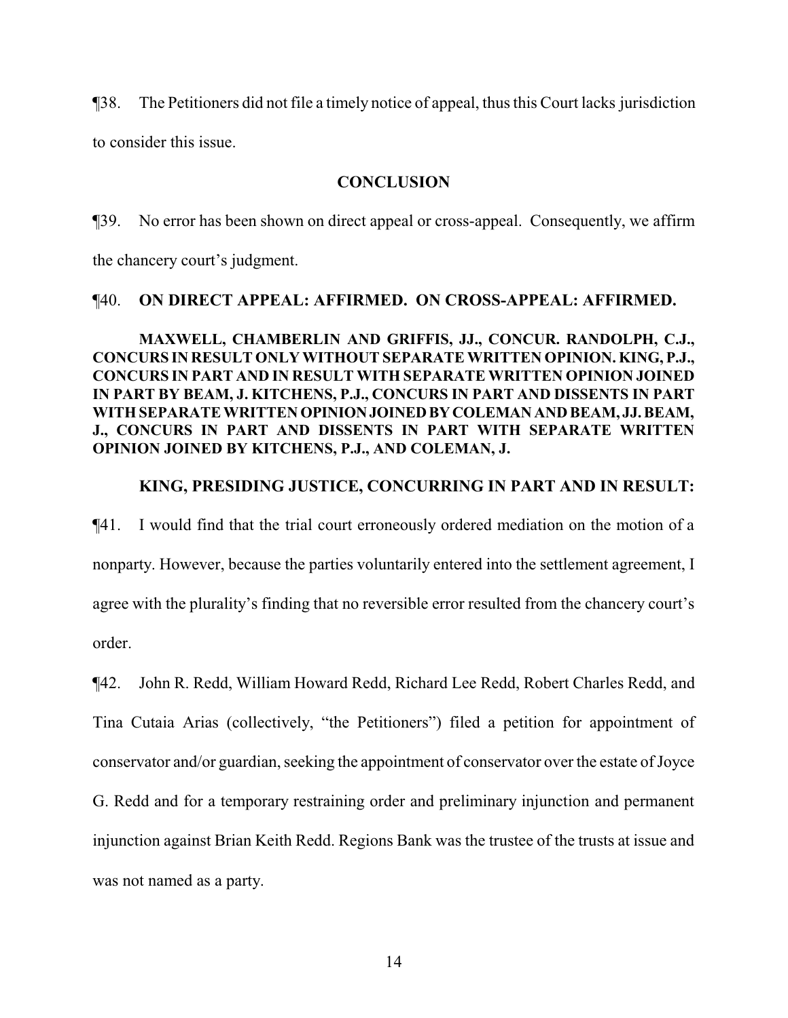¶38. The Petitioners did not file a timely notice of appeal, thus this Court lacks jurisdiction

to consider this issue.

# **CONCLUSION**

¶39. No error has been shown on direct appeal or cross-appeal. Consequently, we affirm

the chancery court's judgment.

# ¶40. **ON DIRECT APPEAL: AFFIRMED. ON CROSS-APPEAL: AFFIRMED.**

# **MAXWELL, CHAMBERLIN AND GRIFFIS, JJ., CONCUR. RANDOLPH, C.J., CONCURS IN RESULT ONLY WITHOUT SEPARATE WRITTEN OPINION. KING, P.J., CONCURS IN PART AND IN RESULT WITH SEPARATE WRITTEN OPINION JOINED IN PART BY BEAM, J. KITCHENS, P.J., CONCURS IN PART AND DISSENTS IN PART WITH SEPARATE WRITTEN OPINIONJOINEDBYCOLEMANAND BEAM, JJ. BEAM, J., CONCURS IN PART AND DISSENTS IN PART WITH SEPARATE WRITTEN OPINION JOINED BY KITCHENS, P.J., AND COLEMAN, J.**

# **KING, PRESIDING JUSTICE, CONCURRING IN PART AND IN RESULT:**

¶41. I would find that the trial court erroneously ordered mediation on the motion of a nonparty. However, because the parties voluntarily entered into the settlement agreement, I agree with the plurality's finding that no reversible error resulted from the chancery court's order.

¶42. John R. Redd, William Howard Redd, Richard Lee Redd, Robert Charles Redd, and Tina Cutaia Arias (collectively, "the Petitioners") filed a petition for appointment of conservator and/or guardian, seeking the appointment of conservator over the estate of Joyce G. Redd and for a temporary restraining order and preliminary injunction and permanent injunction against Brian Keith Redd. Regions Bank was the trustee of the trusts at issue and was not named as a party.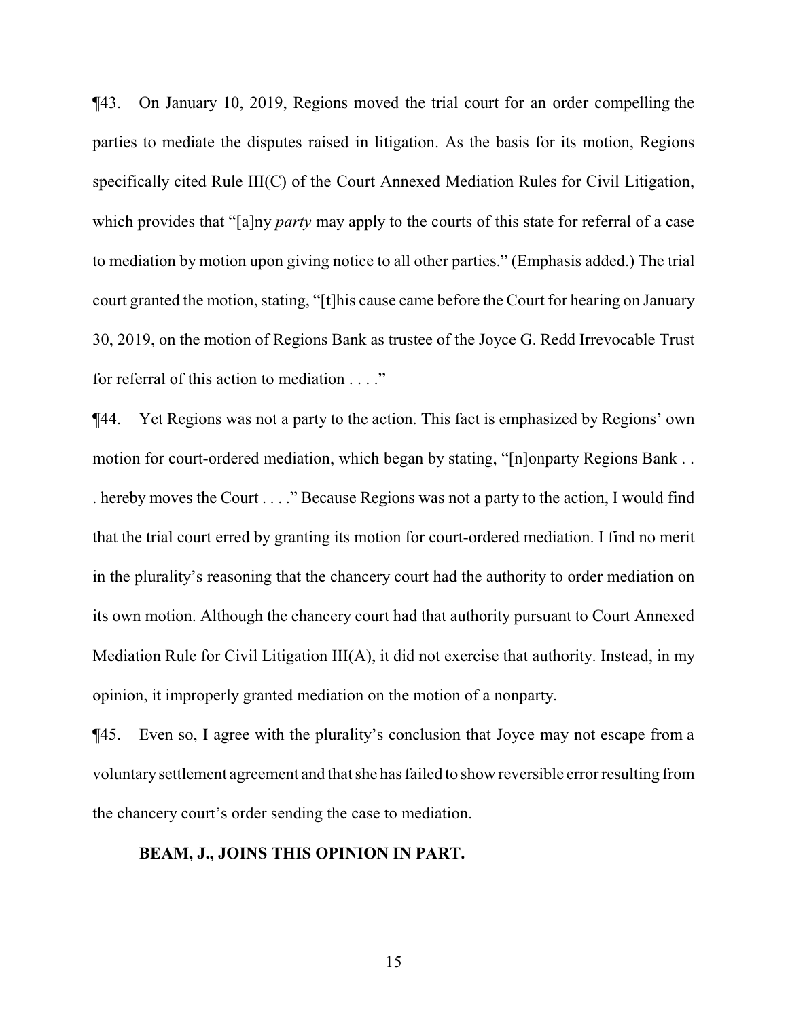¶43. On January 10, 2019, Regions moved the trial court for an order compelling the parties to mediate the disputes raised in litigation. As the basis for its motion, Regions specifically cited Rule III(C) of the Court Annexed Mediation Rules for Civil Litigation, which provides that "[a]ny *party* may apply to the courts of this state for referral of a case to mediation by motion upon giving notice to all other parties." (Emphasis added.) The trial court granted the motion, stating, "[t]his cause came before the Court for hearing on January 30, 2019, on the motion of Regions Bank as trustee of the Joyce G. Redd Irrevocable Trust for referral of this action to mediation . . . ."

¶44. Yet Regions was not a party to the action. This fact is emphasized by Regions' own motion for court-ordered mediation, which began by stating, "[n]onparty Regions Bank . . . hereby moves the Court . . . ." Because Regions was not a party to the action, I would find that the trial court erred by granting its motion for court-ordered mediation. I find no merit in the plurality's reasoning that the chancery court had the authority to order mediation on its own motion. Although the chancery court had that authority pursuant to Court Annexed Mediation Rule for Civil Litigation III(A), it did not exercise that authority. Instead, in my opinion, it improperly granted mediation on the motion of a nonparty.

¶45. Even so, I agree with the plurality's conclusion that Joyce may not escape from a voluntarysettlement agreement and that she has failed to show reversible error resulting from the chancery court's order sending the case to mediation.

### **BEAM, J., JOINS THIS OPINION IN PART.**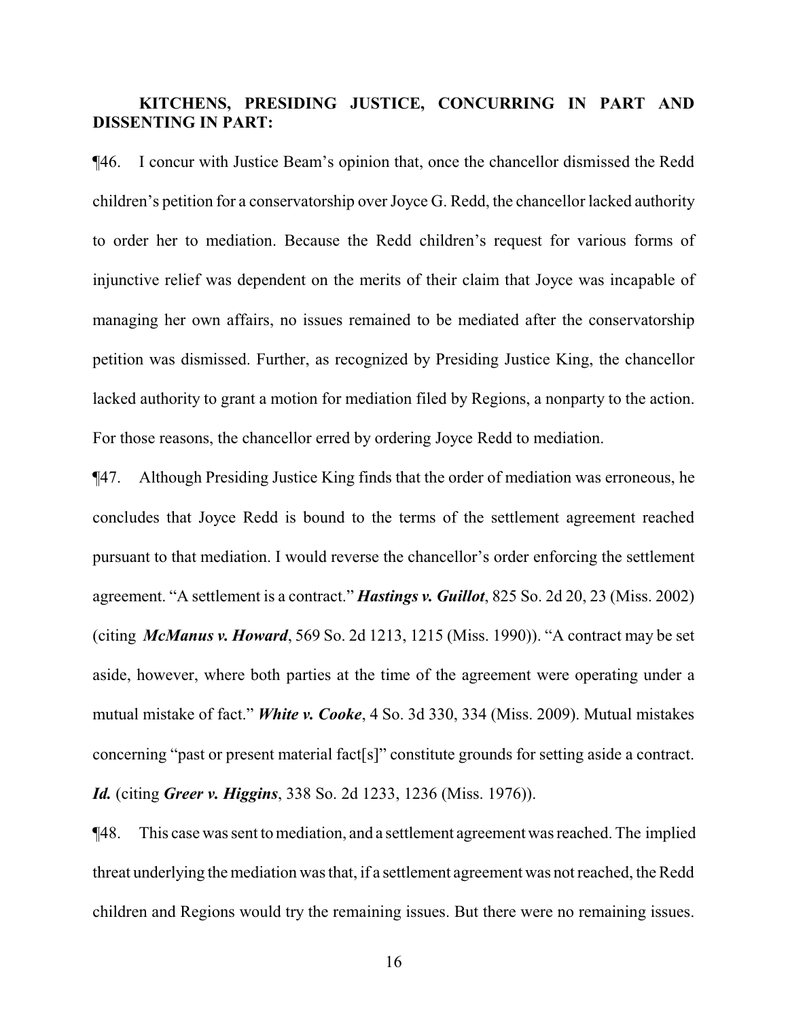# **KITCHENS, PRESIDING JUSTICE, CONCURRING IN PART AND DISSENTING IN PART:**

¶46. I concur with Justice Beam's opinion that, once the chancellor dismissed the Redd children's petition for a conservatorship over Joyce G. Redd, the chancellor lacked authority to order her to mediation. Because the Redd children's request for various forms of injunctive relief was dependent on the merits of their claim that Joyce was incapable of managing her own affairs, no issues remained to be mediated after the conservatorship petition was dismissed. Further, as recognized by Presiding Justice King, the chancellor lacked authority to grant a motion for mediation filed by Regions, a nonparty to the action. For those reasons, the chancellor erred by ordering Joyce Redd to mediation.

¶47. Although Presiding Justice King finds that the order of mediation was erroneous, he concludes that Joyce Redd is bound to the terms of the settlement agreement reached pursuant to that mediation. I would reverse the chancellor's order enforcing the settlement agreement. "A settlement is a contract." *Hastings v. Guillot*, 825 So. 2d 20, 23 (Miss. 2002) (citing *McManus v. Howard*, 569 So. 2d 1213, 1215 (Miss. 1990)). "A contract may be set aside, however, where both parties at the time of the agreement were operating under a mutual mistake of fact." *White v. Cooke*, 4 So. 3d 330, 334 (Miss. 2009). Mutual mistakes concerning "past or present material fact[s]" constitute grounds for setting aside a contract. *Id.* (citing *Greer v. Higgins*, 338 So. 2d 1233, 1236 (Miss. 1976)).

¶48. This case was sent to mediation, and a settlement agreement was reached. The implied threat underlying the mediation was that, if a settlement agreement was not reached, the Redd children and Regions would try the remaining issues. But there were no remaining issues.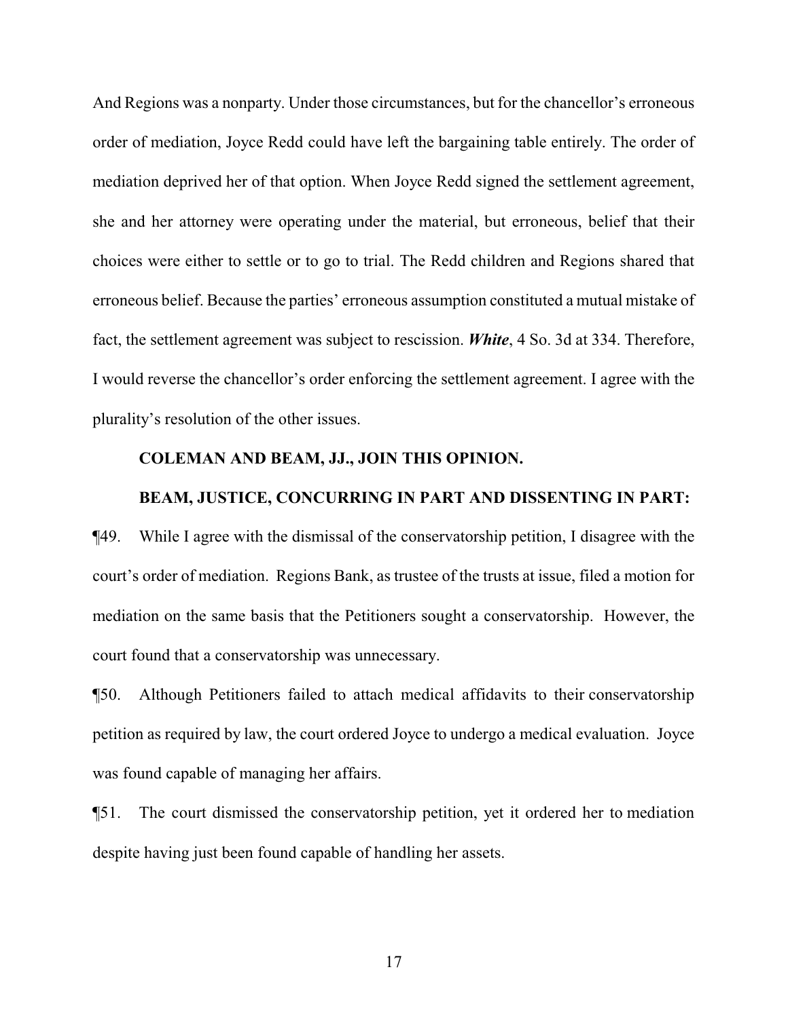And Regions was a nonparty. Under those circumstances, but for the chancellor's erroneous order of mediation, Joyce Redd could have left the bargaining table entirely. The order of mediation deprived her of that option. When Joyce Redd signed the settlement agreement, she and her attorney were operating under the material, but erroneous, belief that their choices were either to settle or to go to trial. The Redd children and Regions shared that erroneous belief. Because the parties' erroneous assumption constituted a mutual mistake of fact, the settlement agreement was subject to rescission. *White*, 4 So. 3d at 334. Therefore, I would reverse the chancellor's order enforcing the settlement agreement. I agree with the plurality's resolution of the other issues.

#### **COLEMAN AND BEAM, JJ., JOIN THIS OPINION.**

# **BEAM, JUSTICE, CONCURRING IN PART AND DISSENTING IN PART:**

¶49. While I agree with the dismissal of the conservatorship petition, I disagree with the court's order of mediation. Regions Bank, as trustee of the trusts at issue, filed a motion for mediation on the same basis that the Petitioners sought a conservatorship. However, the court found that a conservatorship was unnecessary.

¶50. Although Petitioners failed to attach medical affidavits to their conservatorship petition as required by law, the court ordered Joyce to undergo a medical evaluation. Joyce was found capable of managing her affairs.

¶51. The court dismissed the conservatorship petition, yet it ordered her to mediation despite having just been found capable of handling her assets.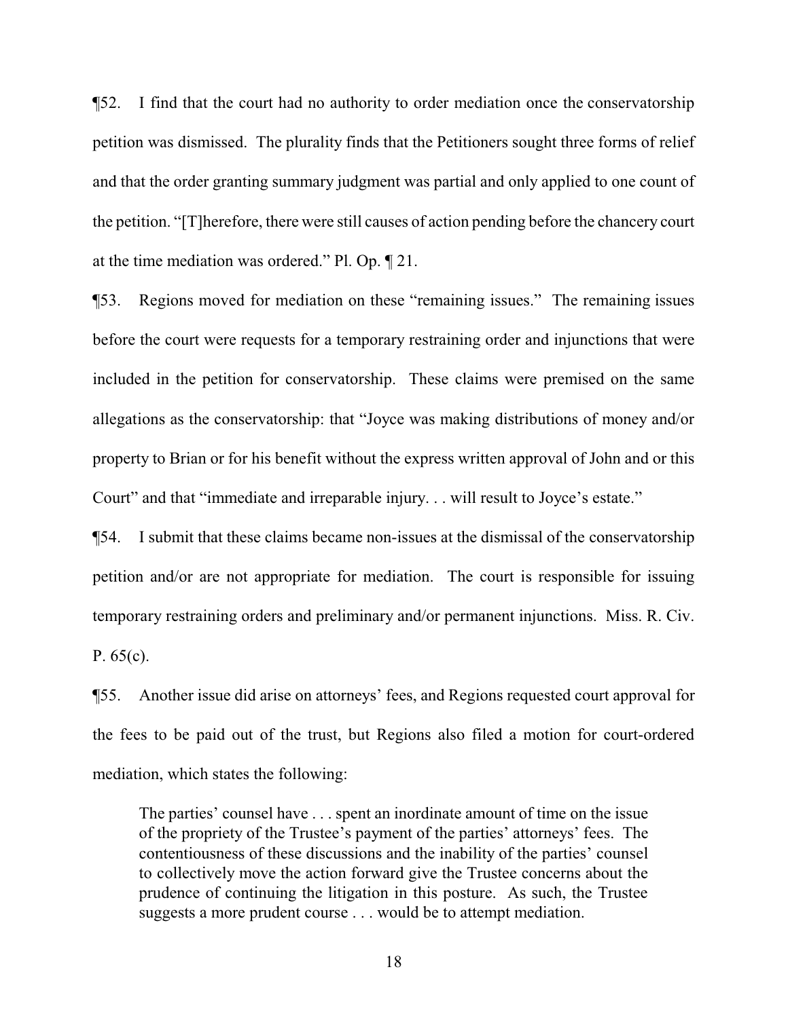¶52. I find that the court had no authority to order mediation once the conservatorship petition was dismissed. The plurality finds that the Petitioners sought three forms of relief and that the order granting summary judgment was partial and only applied to one count of the petition. "[T]herefore, there were still causes of action pending before the chancery court at the time mediation was ordered." Pl. Op. ¶ 21.

¶53. Regions moved for mediation on these "remaining issues." The remaining issues before the court were requests for a temporary restraining order and injunctions that were included in the petition for conservatorship. These claims were premised on the same allegations as the conservatorship: that "Joyce was making distributions of money and/or property to Brian or for his benefit without the express written approval of John and or this Court" and that "immediate and irreparable injury. . . will result to Joyce's estate."

¶54. I submit that these claims became non-issues at the dismissal of the conservatorship petition and/or are not appropriate for mediation. The court is responsible for issuing temporary restraining orders and preliminary and/or permanent injunctions. Miss. R. Civ. P. 65(c).

¶55. Another issue did arise on attorneys' fees, and Regions requested court approval for the fees to be paid out of the trust, but Regions also filed a motion for court-ordered mediation, which states the following:

The parties' counsel have . . . spent an inordinate amount of time on the issue of the propriety of the Trustee's payment of the parties' attorneys' fees. The contentiousness of these discussions and the inability of the parties' counsel to collectively move the action forward give the Trustee concerns about the prudence of continuing the litigation in this posture. As such, the Trustee suggests a more prudent course . . . would be to attempt mediation.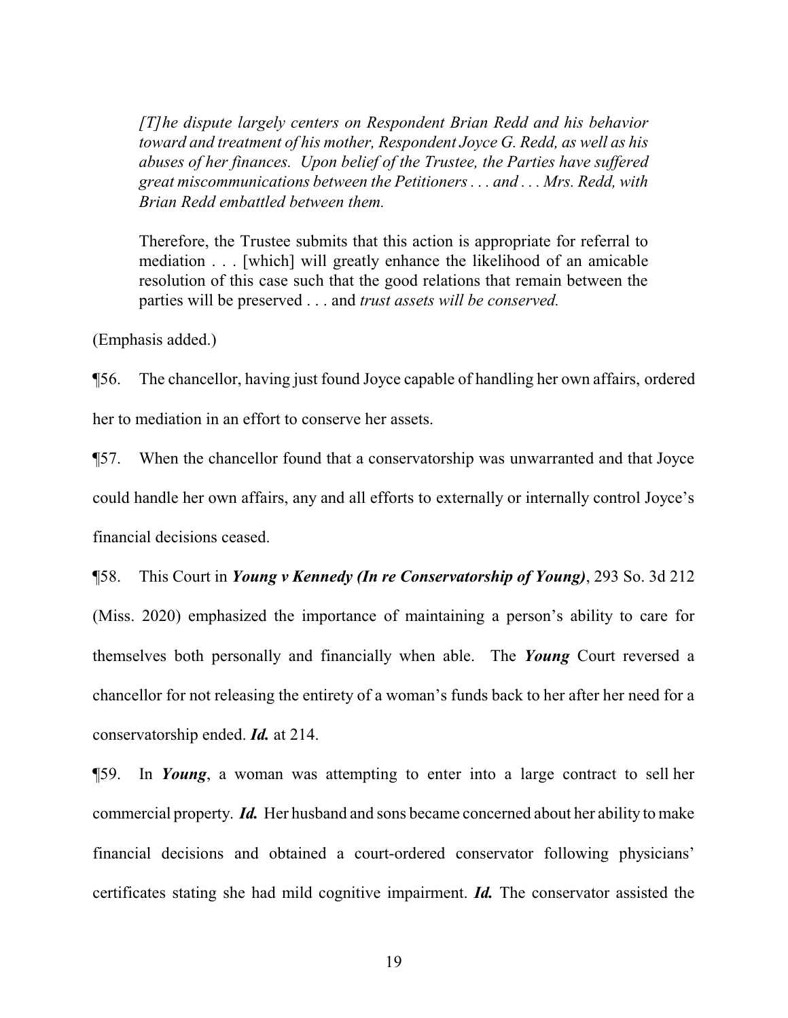*[T]he dispute largely centers on Respondent Brian Redd and his behavior toward and treatment of his mother, Respondent Joyce G. Redd, as well as his abuses of her finances. Upon belief of the Trustee, the Parties have suffered great miscommunications between the Petitioners . . . and . . . Mrs. Redd, with Brian Redd embattled between them.*

Therefore, the Trustee submits that this action is appropriate for referral to mediation . . . [which] will greatly enhance the likelihood of an amicable resolution of this case such that the good relations that remain between the parties will be preserved . . . and *trust assets will be conserved.*

(Emphasis added.)

¶56. The chancellor, having just found Joyce capable of handling her own affairs, ordered her to mediation in an effort to conserve her assets.

¶57. When the chancellor found that a conservatorship was unwarranted and that Joyce could handle her own affairs, any and all efforts to externally or internally control Joyce's financial decisions ceased.

¶58. This Court in *Young v Kennedy (In re Conservatorship of Young)*, 293 So. 3d 212 (Miss. 2020) emphasized the importance of maintaining a person's ability to care for themselves both personally and financially when able. The *Young* Court reversed a chancellor for not releasing the entirety of a woman's funds back to her after her need for a conservatorship ended. *Id.* at 214.

¶59. In *Young*, a woman was attempting to enter into a large contract to sell her commercial property. *Id.* Her husband and sons became concerned about her ability to make financial decisions and obtained a court-ordered conservator following physicians' certificates stating she had mild cognitive impairment. *Id.* The conservator assisted the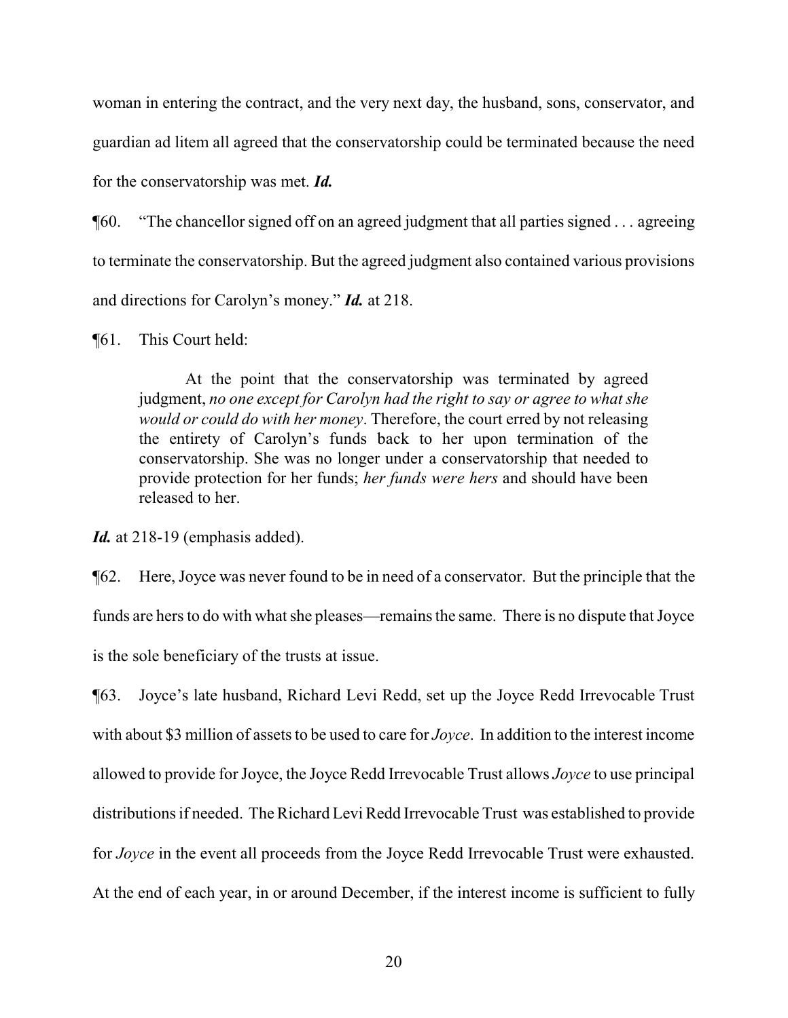woman in entering the contract, and the very next day, the husband, sons, conservator, and guardian ad litem all agreed that the conservatorship could be terminated because the need for the conservatorship was met. *Id.*

¶60. "The chancellor signed off on an agreed judgment that all parties signed . . . agreeing to terminate the conservatorship. But the agreed judgment also contained various provisions and directions for Carolyn's money." *Id.* at 218.

¶61. This Court held:

At the point that the conservatorship was terminated by agreed judgment, *no one except for Carolyn had the right to say or agree to what she would or could do with her money*. Therefore, the court erred by not releasing the entirety of Carolyn's funds back to her upon termination of the conservatorship. She was no longer under a conservatorship that needed to provide protection for her funds; *her funds were hers* and should have been released to her.

Id. at 218-19 (emphasis added).

¶62. Here, Joyce was never found to be in need of a conservator. But the principle that the funds are hers to do with what she pleases—remains the same. There is no dispute that Joyce is the sole beneficiary of the trusts at issue.

¶63. Joyce's late husband, Richard Levi Redd, set up the Joyce Redd Irrevocable Trust with about \$3 million of assets to be used to care for *Joyce*. In addition to the interest income allowed to provide for Joyce, the Joyce Redd Irrevocable Trust allows *Joyce* to use principal distributions if needed. The Richard Levi Redd Irrevocable Trust was established to provide for *Joyce* in the event all proceeds from the Joyce Redd Irrevocable Trust were exhausted. At the end of each year, in or around December, if the interest income is sufficient to fully